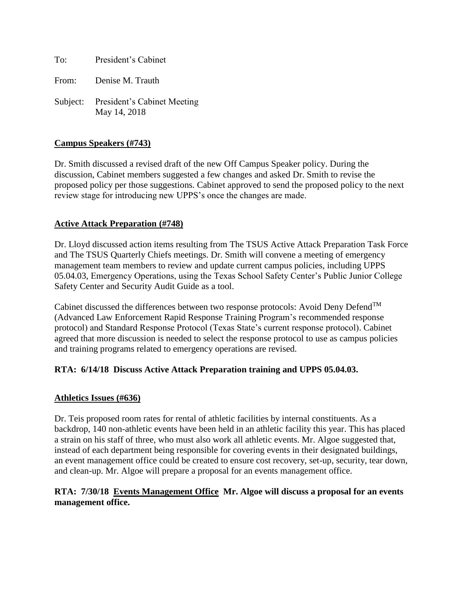To: President's Cabinet

From: Denise M. Trauth

Subject: President's Cabinet Meeting May 14, 2018

## **Campus Speakers (#743)**

Dr. Smith discussed a revised draft of the new Off Campus Speaker policy. During the discussion, Cabinet members suggested a few changes and asked Dr. Smith to revise the proposed policy per those suggestions. Cabinet approved to send the proposed policy to the next review stage for introducing new UPPS's once the changes are made.

## **Active Attack Preparation (#748)**

Dr. Lloyd discussed action items resulting from The TSUS Active Attack Preparation Task Force and The TSUS Quarterly Chiefs meetings. Dr. Smith will convene a meeting of emergency management team members to review and update current campus policies, including UPPS 05.04.03, Emergency Operations, using the Texas School Safety Center's Public Junior College Safety Center and Security Audit Guide as a tool.

Cabinet discussed the differences between two response protocols: Avoid Deny Defend<sup>TM</sup> (Advanced Law Enforcement Rapid Response Training Program's recommended response protocol) and Standard Response Protocol (Texas State's current response protocol). Cabinet agreed that more discussion is needed to select the response protocol to use as campus policies and training programs related to emergency operations are revised.

# **RTA: 6/14/18 Discuss Active Attack Preparation training and UPPS 05.04.03.**

### **Athletics Issues (#636)**

Dr. Teis proposed room rates for rental of athletic facilities by internal constituents. As a backdrop, 140 non-athletic events have been held in an athletic facility this year. This has placed a strain on his staff of three, who must also work all athletic events. Mr. Algoe suggested that, instead of each department being responsible for covering events in their designated buildings, an event management office could be created to ensure cost recovery, set-up, security, tear down, and clean-up. Mr. Algoe will prepare a proposal for an events management office.

## **RTA: 7/30/18 Events Management Office Mr. Algoe will discuss a proposal for an events management office.**